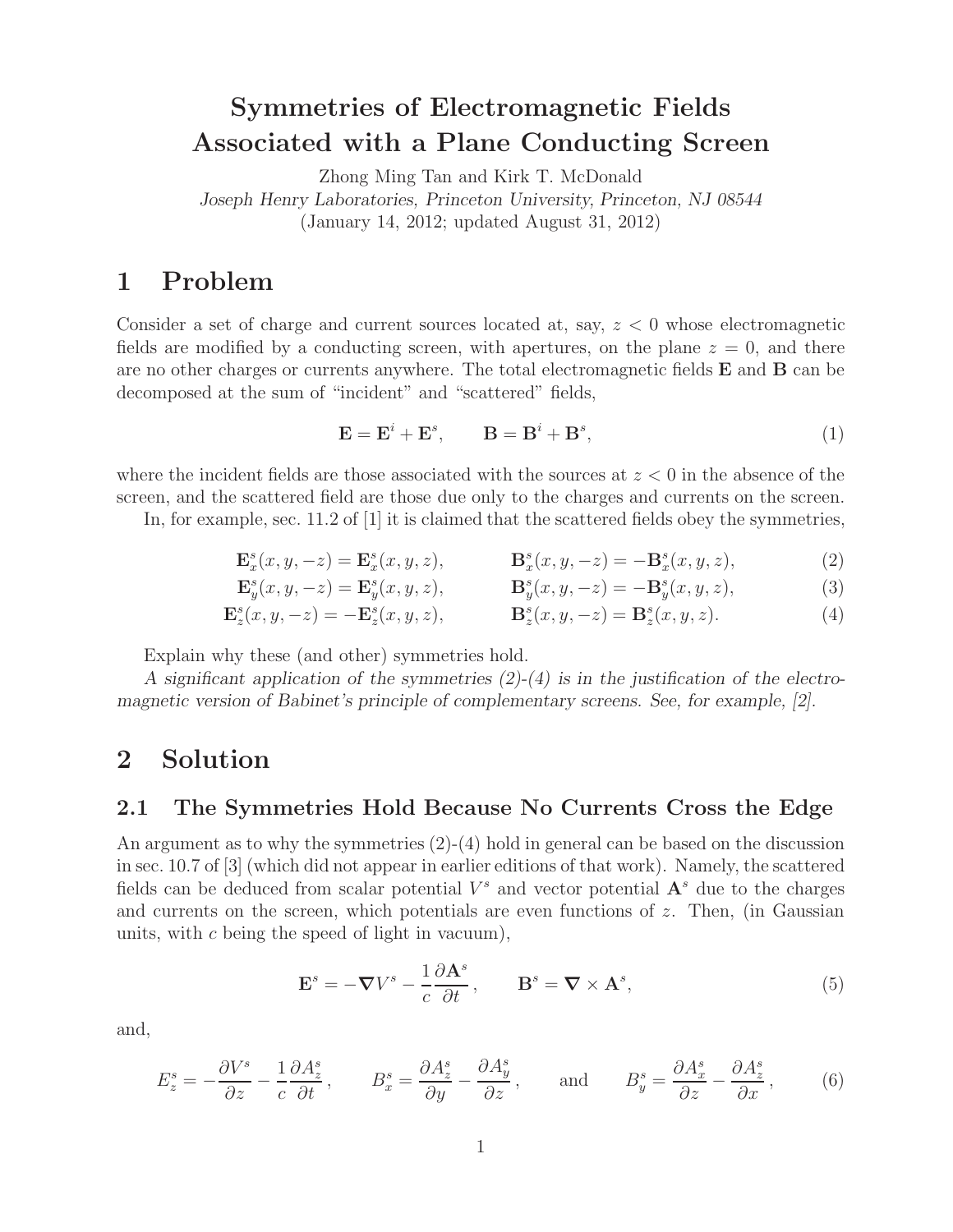## **Symmetries of Electromagnetic Fields Associated with a Plane Conducting Screen**

Zhong Ming Tan and Kirk T. McDonald *Joseph Henry Laboratories, Princeton University, Princeton, NJ 08544* (January 14, 2012; updated August 31, 2012)

## **1 Problem**

Consider a set of charge and current sources located at, say,  $z < 0$  whose electromagnetic fields are modified by a conducting screen, with apertures, on the plane  $z = 0$ , and there are no other charges or currents anywhere. The total electromagnetic fields **E** and **B** can be decomposed at the sum of "incident" and "scattered" fields,

$$
\mathbf{E} = \mathbf{E}^i + \mathbf{E}^s, \qquad \mathbf{B} = \mathbf{B}^i + \mathbf{B}^s,\tag{1}
$$

where the incident fields are those associated with the sources at  $z < 0$  in the absence of the screen, and the scattered field are those due only to the charges and currents on the screen.

In, for example, sec. 11.2 of [1] it is claimed that the scattered fields obey the symmetries,

$$
\mathbf{E}_x^s(x, y, -z) = \mathbf{E}_x^s(x, y, z), \qquad \mathbf{B}_x^s(x, y, -z) = -\mathbf{B}_x^s(x, y, z), \tag{2}
$$

$$
\mathbf{E}_y^s(x, y, -z) = \mathbf{E}_y^s(x, y, z), \qquad \mathbf{B}_y^s(x, y, -z) = -\mathbf{B}_y^s(x, y, z), \tag{3}
$$

$$
\mathbf{E}_z^s(x, y, -z) = -\mathbf{E}_z^s(x, y, z), \qquad \mathbf{B}_z^s(x, y, -z) = \mathbf{B}_z^s(x, y, z). \tag{4}
$$

Explain why these (and other) symmetries hold.

*A significant application of the symmetries (2)-(4) is in the justification of the electromagnetic version of Babinet's principle of complementary screens. See, for example, [2].*

### **2 Solution**

#### **2.1 The Symmetries Hold Because No Currents Cross the Edge**

An argument as to why the symmetries  $(2)-(4)$  hold in general can be based on the discussion in sec. 10.7 of [3] (which did not appear in earlier editions of that work). Namely, the scattered fields can be deduced from scalar potential  $V^s$  and vector potential  $\mathbf{A}^s$  due to the charges and currents on the screen, which potentials are even functions of  $z$ . Then, (in Gaussian units, with c being the speed of light in vacuum),

$$
\mathbf{E}^s = -\nabla V^s - \frac{1}{c} \frac{\partial \mathbf{A}^s}{\partial t}, \qquad \mathbf{B}^s = \nabla \times \mathbf{A}^s,
$$
 (5)

and,

$$
E_z^s = -\frac{\partial V^s}{\partial z} - \frac{1}{c} \frac{\partial A_z^s}{\partial t}, \qquad B_x^s = \frac{\partial A_z^s}{\partial y} - \frac{\partial A_y^s}{\partial z}, \qquad \text{and} \qquad B_y^s = \frac{\partial A_x^s}{\partial z} - \frac{\partial A_z^s}{\partial x}, \qquad (6)
$$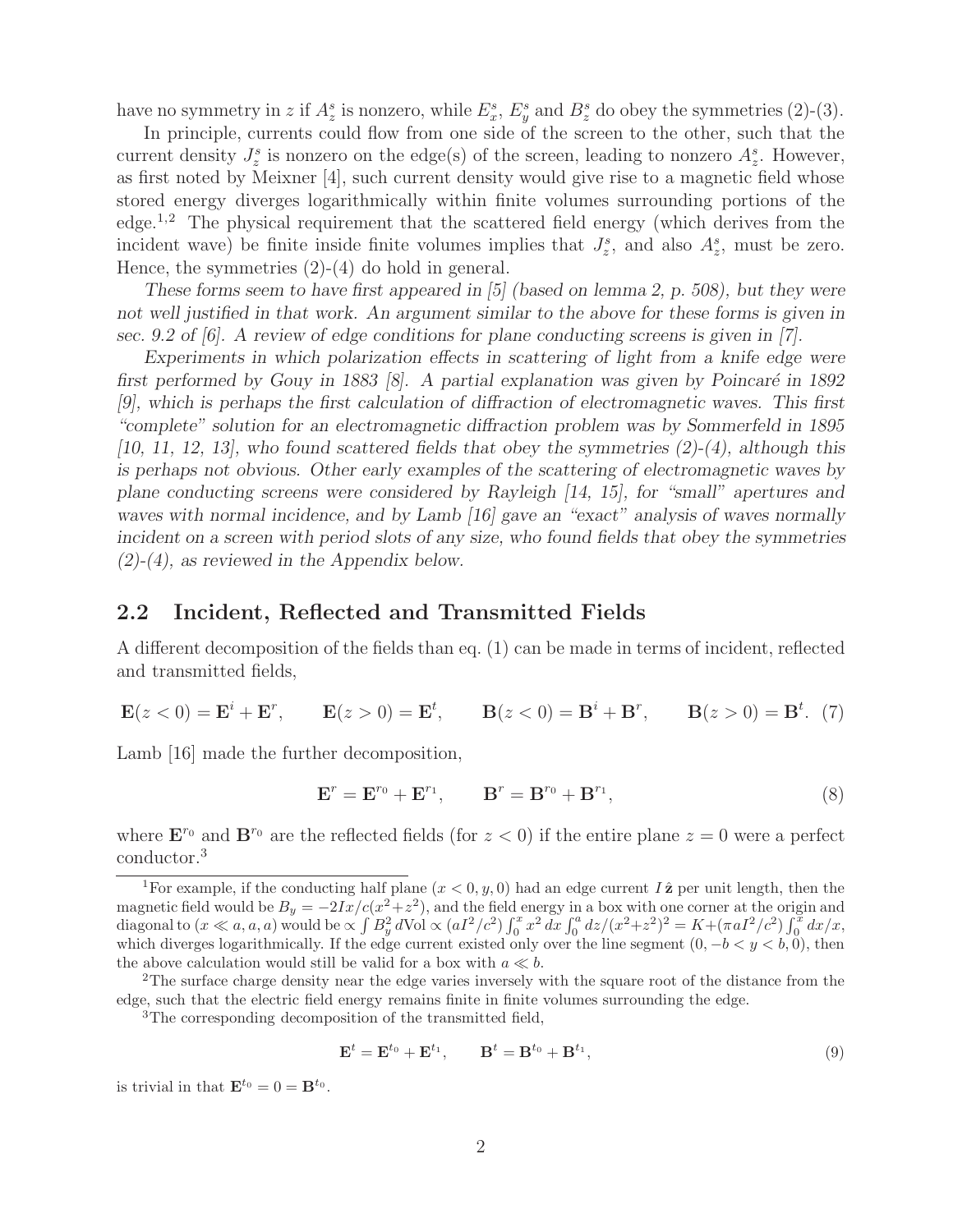have no symmetry in z if  $A_z^s$  is nonzero, while  $E_x^s$ ,  $E_y^s$  and  $B_z^s$  do obey the symmetries (2)-(3).

In principle, currents could flow from one side of the screen to the other, such that the current density  $J_z^s$  is nonzero on the edge(s) of the screen, leading to nonzero  $A_z^s$ . However, as first noted by Meixner [4], such current density would give rise to a magnetic field whose stored energy diverges logarithmically within finite volumes surrounding portions of the edge.1,2 The physical requirement that the scattered field energy (which derives from the incident wave) be finite inside finite volumes implies that  $J_z^s$ , and also  $A_z^s$ , must be zero. Hence, the symmetries  $(2)-(4)$  do hold in general.

*These forms seem to have first appeared in [5] (based on lemma 2, p. 508), but they were not well justified in that work. An argument similar to the above for these forms is given in sec. 9.2 of [6]. A review of edge conditions for plane conducting screens is given in [7].*

*Experiments in which polarization effects in scattering of light from a knife edge were first performed by Gouy in 1883 [8]. A partial explanation was given by Poincaré in 1892 [9], which is perhaps the first calculation of diffraction of electromagnetic waves. This first "complete" solution for an electromagnetic diffraction problem was by Sommerfeld in 1895 [10, 11, 12, 13], who found scattered fields that obey the symmetries (2)-(4), although this is perhaps not obvious. Other early examples of the scattering of electromagnetic waves by plane conducting screens were considered by Rayleigh [14, 15], for "small" apertures and waves with normal incidence, and by Lamb [16] gave an "exact" analysis of waves normally incident on a screen with period slots of any size, who found fields that obey the symmetries (2)-(4), as reviewed in the Appendix below.*

#### **2.2 Incident, Reflected and Transmitted Fields**

A different decomposition of the fields than eq. (1) can be made in terms of incident, reflected and transmitted fields,

$$
\mathbf{E}(z<0) = \mathbf{E}^i + \mathbf{E}^r, \qquad \mathbf{E}(z>0) = \mathbf{E}^t, \qquad \mathbf{B}(z<0) = \mathbf{B}^i + \mathbf{B}^r, \qquad \mathbf{B}(z>0) = \mathbf{B}^t. \tag{7}
$$

Lamb [16] made the further decomposition,

$$
\mathbf{E}^r = \mathbf{E}^{r_0} + \mathbf{E}^{r_1}, \qquad \mathbf{B}^r = \mathbf{B}^{r_0} + \mathbf{B}^{r_1}, \tag{8}
$$

where  $\mathbf{E}^{r_0}$  and  $\mathbf{B}^{r_0}$  are the reflected fields (for  $z < 0$ ) if the entire plane  $z = 0$  were a perfect conductor.<sup>3</sup>

$$
\mathbf{E}^t = \mathbf{E}^{t_0} + \mathbf{E}^{t_1}, \qquad \mathbf{B}^t = \mathbf{B}^{t_0} + \mathbf{B}^{t_1}, \tag{9}
$$

is trivial in that  $\mathbf{E}^{t_0} = 0 = \mathbf{B}^{t_0}$ .

<sup>&</sup>lt;sup>1</sup>For example, if the conducting half plane  $(x < 0, y, 0)$  had an edge current  $I\hat{z}$  per unit length, then the magnetic field would be  $B_y = -2Ix/(x^2+z^2)$ , and the field energy in a box with one corner at the origin and diagonal to  $(x \ll a, a, a)$  would be  $\propto \int B_y^2 d\text{Vol} \propto (aI^2/c^2) \int_0^x x^2 dx \int_0^a dz/(x^2+z^2)^2 = K + (\pi aI^2/c^2) \int_0^x dx/x$ , which diverges logarithmically. If the edge current existed only over the line segment  $(0, -b < y < b, 0)$ , then the above calculation would still be valid for a box with  $a \ll b$ .

<sup>&</sup>lt;sup>2</sup>The surface charge density near the edge varies inversely with the square root of the distance from the edge, such that the electric field energy remains finite in finite volumes surrounding the edge.

<sup>3</sup>The corresponding decomposition of the transmitted field,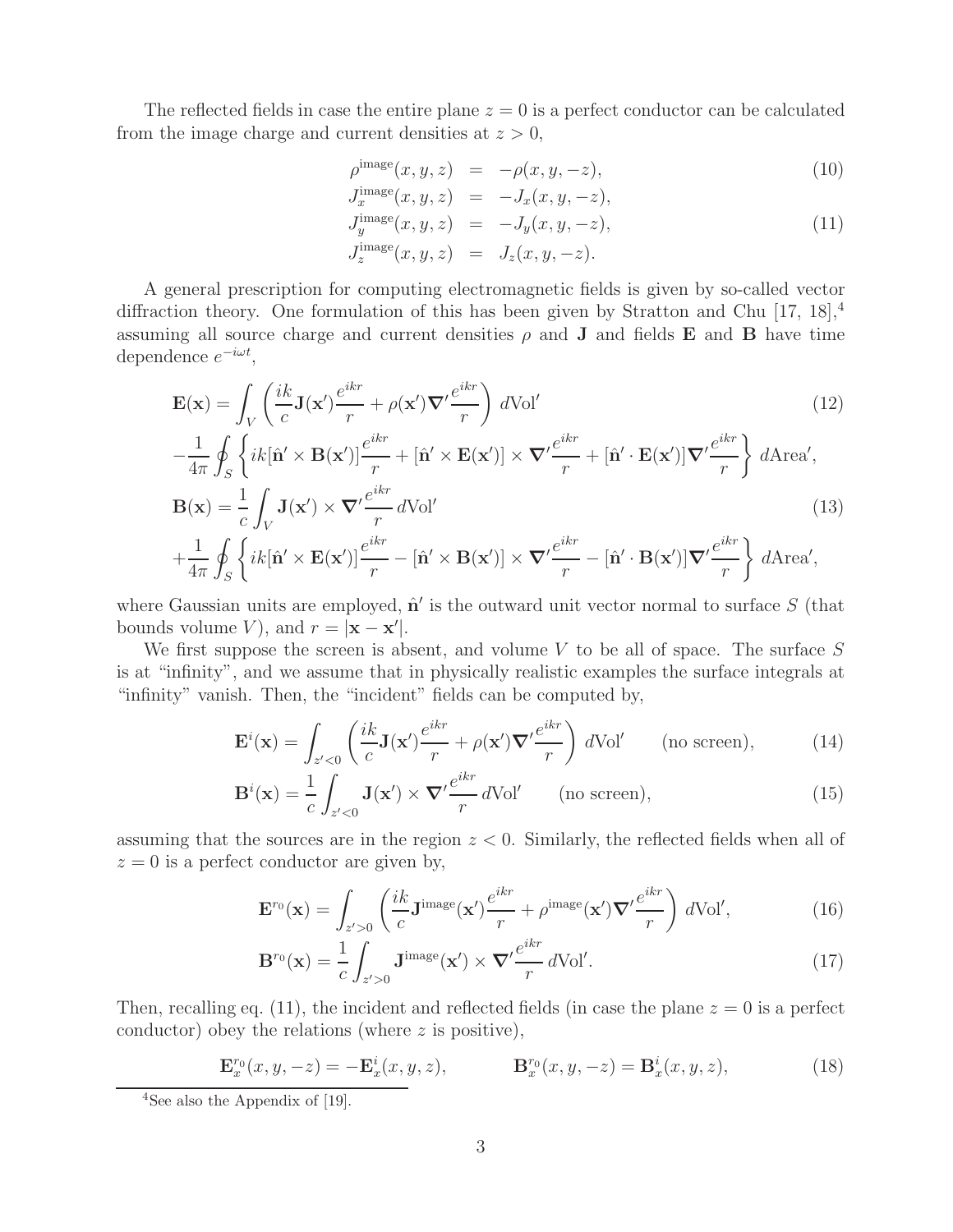The reflected fields in case the entire plane  $z = 0$  is a perfect conductor can be calculated from the image charge and current densities at  $z > 0$ ,

$$
\rho^{\text{image}}(x, y, z) = -\rho(x, y, -z), \tag{10}
$$

$$
J_x^{\text{image}}(x, y, z) = -J_x(x, y, -z),
$$
  
\n
$$
J_y^{\text{image}}(x, y, z) = -J_y(x, y, -z),
$$
  
\n
$$
J_z^{\text{image}}(x, y, z) = J_z(x, y, -z).
$$
\n(11)

A general prescription for computing electromagnetic fields is given by so-called vector diffraction theory. One formulation of this has been given by Stratton and Chu [17, 18],  $4$ assuming all source charge and current densities  $\rho$  and **J** and fields **E** and **B** have time dependence  $e^{-i\omega t}$ ,

$$
\mathbf{E}(\mathbf{x}) = \int_{V} \left( \frac{ik}{c} \mathbf{J}(\mathbf{x}') \frac{e^{ikr}}{r} + \rho(\mathbf{x}') \nabla' \frac{e^{ikr}}{r} \right) dVol'
$$
(12)

$$
-\frac{1}{4\pi} \oint_{S} \left\{ ik[\hat{\mathbf{n}}' \times \mathbf{B}(\mathbf{x}')] \frac{e^{ikr}}{r} + [\hat{\mathbf{n}}' \times \mathbf{E}(\mathbf{x}')] \times \nabla' \frac{e^{ikr}}{r} + [\hat{\mathbf{n}}' \cdot \mathbf{E}(\mathbf{x}')] \nabla' \frac{e^{ikr}}{r} \right\} d\text{Area}',
$$
  

$$
\mathbf{B}(\mathbf{x}) = \frac{1}{r} \int \mathbf{J}(\mathbf{x}') \times \nabla' \frac{e^{ikr}}{r} d\text{Vol}'
$$
(13)

$$
\mathbf{B}(\mathbf{x}) = \frac{1}{c} \int_{V} \mathbf{J}(\mathbf{x}') \times \nabla' \frac{e}{r} d\text{Vol}'
$$
\n
$$
+ \frac{1}{4\pi} \oint_{S} \left\{ ik[\hat{\mathbf{n}}' \times \mathbf{E}(\mathbf{x}')] \frac{e^{ikr}}{r} - [\hat{\mathbf{n}}' \times \mathbf{B}(\mathbf{x}')] \times \nabla' \frac{e^{ikr}}{r} - [\hat{\mathbf{n}}' \cdot \mathbf{B}(\mathbf{x}')] \nabla' \frac{e^{ikr}}{r} \right\} d\text{Area}',
$$
\n(13)

where Gaussian units are employed,  $\hat{\mathbf{n}}'$  is the outward unit vector normal to surface S (that bounds volume *V*), and  $r = |\mathbf{x} - \mathbf{x}'|$ .

We first suppose the screen is absent, and volume  $V$  to be all of space. The surface  $S$ is at "infinity", and we assume that in physically realistic examples the surface integrals at "infinity" vanish. Then, the "incident" fields can be computed by,

$$
\mathbf{E}^{i}(\mathbf{x}) = \int_{z' < 0} \left( \frac{ik}{c} \mathbf{J}(\mathbf{x}') \frac{e^{ikr}}{r} + \rho(\mathbf{x}') \nabla' \frac{e^{ikr}}{r} \right) dVol' \qquad \text{(no screen)},\tag{14}
$$

$$
\mathbf{B}^{i}(\mathbf{x}) = \frac{1}{c} \int_{z' < 0} \mathbf{J}(\mathbf{x}') \times \nabla' \frac{e^{ikr}}{r} d\text{Vol}' \qquad \text{(no screen)},\tag{15}
$$

assuming that the sources are in the region  $z < 0$ . Similarly, the reflected fields when all of  $z = 0$  is a perfect conductor are given by,

$$
\mathbf{E}^{r_0}(\mathbf{x}) = \int_{z' > 0} \left( \frac{ik}{c} \mathbf{J}^{\text{image}}(\mathbf{x}') \frac{e^{ikr}}{r} + \rho^{\text{image}}(\mathbf{x}') \nabla' \frac{e^{ikr}}{r} \right) dVol', \tag{16}
$$

$$
\mathbf{B}^{r_0}(\mathbf{x}) = \frac{1}{c} \int_{z' > 0} \mathbf{J}^{\text{image}}(\mathbf{x}') \times \mathbf{\nabla'} \frac{e^{ikr}}{r} d\text{Vol}'. \tag{17}
$$

Then, recalling eq. (11), the incident and reflected fields (in case the plane  $z = 0$  is a perfect conductor) obey the relations (where  $z$  is positive),

$$
\mathbf{E}_x^{r_0}(x, y, -z) = -\mathbf{E}_x^i(x, y, z), \qquad \mathbf{B}_x^{r_0}(x, y, -z) = \mathbf{B}_x^i(x, y, z), \qquad (18)
$$

<sup>&</sup>lt;sup>4</sup>See also the Appendix of [19].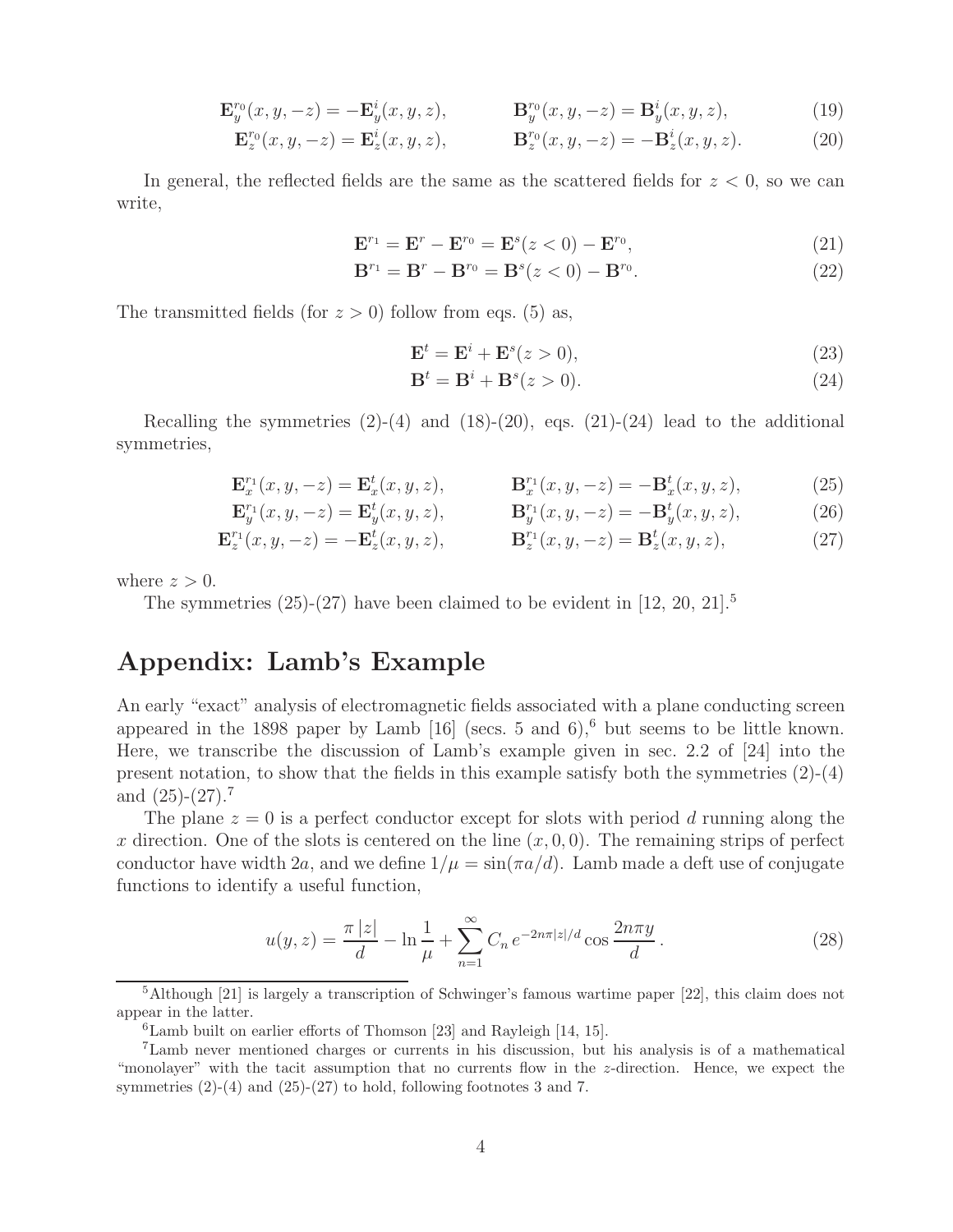$$
\mathbf{E}_{y}^{r_0}(x, y, -z) = -\mathbf{E}_{y}^{i}(x, y, z), \qquad \mathbf{B}_{y}^{r_0}(x, y, -z) = \mathbf{B}_{y}^{i}(x, y, z), \qquad (19)
$$

$$
\mathbf{E}_{z}^{r_0}(x, y, -z) = \mathbf{E}_{z}^{i}(x, y, z), \qquad \mathbf{B}_{z}^{r_0}(x, y, -z) = -\mathbf{B}_{z}^{i}(x, y, z). \tag{20}
$$

In general, the reflected fields are the same as the scattered fields for  $z < 0$ , so we can write,

$$
\mathbf{E}^{r_1} = \mathbf{E}^r - \mathbf{E}^{r_0} = \mathbf{E}^s(z<0) - \mathbf{E}^{r_0},\tag{21}
$$

$$
\mathbf{B}^{r_1} = \mathbf{B}^r - \mathbf{B}^{r_0} = \mathbf{B}^s(z < 0) - \mathbf{B}^{r_0}.
$$
 (22)

The transmitted fields (for  $z > 0$ ) follow from eqs. (5) as,

$$
\mathbf{E}^t = \mathbf{E}^i + \mathbf{E}^s(z > 0),\tag{23}
$$

$$
\mathbf{B}^t = \mathbf{B}^i + \mathbf{B}^s(z>0). \tag{24}
$$

Recalling the symmetries  $(2)-(4)$  and  $(18)-(20)$ , eqs.  $(21)-(24)$  lead to the additional symmetries,

$$
\mathbf{E}_x^{r_1}(x, y, -z) = \mathbf{E}_x^t(x, y, z), \qquad \mathbf{B}_x^{r_1}(x, y, -z) = -\mathbf{B}_x^t(x, y, z), \tag{25}
$$

$$
\mathbf{E}_{y}^{r_{1}}(x, y, -z) = \mathbf{E}_{y}^{t}(x, y, z), \qquad \mathbf{B}_{y}^{r_{1}}(x, y, -z) = -\mathbf{B}_{y}^{t}(x, y, z), \qquad (26)
$$

$$
\mathbf{E}_z^{r_1}(x, y, -z) = -\mathbf{E}_z^t(x, y, z), \qquad \mathbf{B}_z^{r_1}(x, y, -z) = \mathbf{B}_z^t(x, y, z), \tag{27}
$$

where  $z > 0$ .

The symmetries  $(25)-(27)$  have been claimed to be evident in [12, 20, 21].<sup>5</sup>

## **Appendix: Lamb's Example**

An early "exact" analysis of electromagnetic fields associated with a plane conducting screen appeared in the 1898 paper by Lamb  $[16]$  (secs. 5 and 6),<sup>6</sup> but seems to be little known. Here, we transcribe the discussion of Lamb's example given in sec. 2.2 of [24] into the present notation, to show that the fields in this example satisfy both the symmetries  $(2)-(4)$ and  $(25)-(27).7$ 

The plane  $z = 0$  is a perfect conductor except for slots with period d running along the x direction. One of the slots is centered on the line  $(x, 0, 0)$ . The remaining strips of perfect conductor have width 2a, and we define  $1/\mu = \sin(\pi a/d)$ . Lamb made a deft use of conjugate functions to identify a useful function,

$$
u(y,z) = \frac{\pi |z|}{d} - \ln \frac{1}{\mu} + \sum_{n=1}^{\infty} C_n e^{-2n\pi |z|/d} \cos \frac{2n\pi y}{d}.
$$
 (28)

<sup>5</sup>Although [21] is largely a transcription of Schwinger's famous wartime paper [22], this claim does not appear in the latter.

 ${}^{6}$ Lamb built on earlier efforts of Thomson [23] and Rayleigh [14, 15].

<sup>7</sup>Lamb never mentioned charges or currents in his discussion, but his analysis is of a mathematical "monolayer" with the tacit assumption that no currents flow in the z-direction. Hence, we expect the symmetries  $(2)-(4)$  and  $(25)-(27)$  to hold, following footnotes 3 and 7.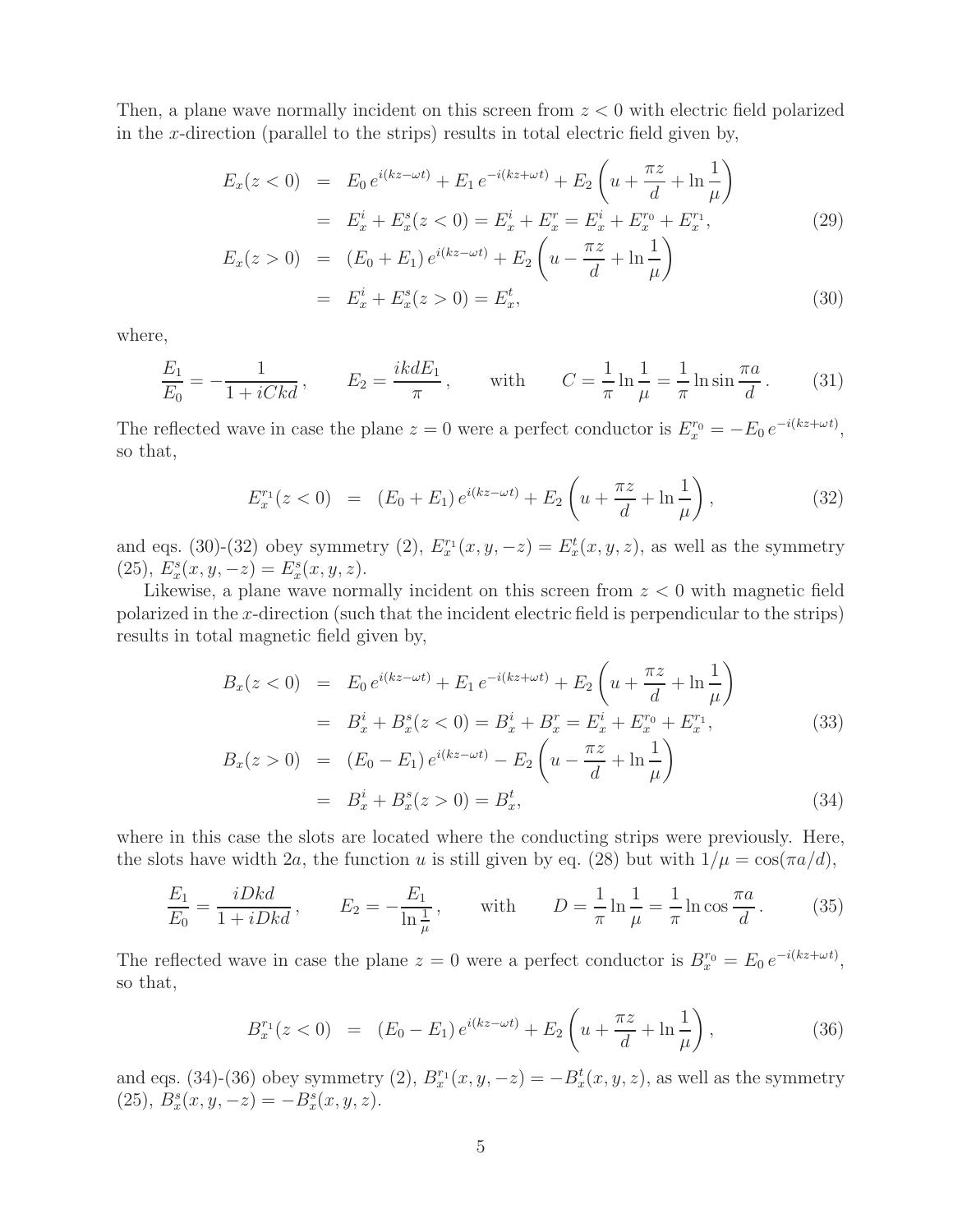Then, a plane wave normally incident on this screen from  $z < 0$  with electric field polarized in the x-direction (parallel to the strips) results in total electric field given by,

$$
E_x(z < 0) = E_0 e^{i(kz - \omega t)} + E_1 e^{-i(kz + \omega t)} + E_2 \left( u + \frac{\pi z}{d} + \ln \frac{1}{\mu} \right)
$$
  

$$
= E_x^i + E_x^s(z < 0) = E_x^i + E_x^r = E_x^i + E_x^{r_0} + E_x^{r_1},
$$
  

$$
E_x(z > 0) = (E_0 + E_1) e^{i(kz - \omega t)} + E_2 \left( u - \frac{\pi z}{d} + \ln \frac{1}{\mu} \right)
$$
 (29)

$$
= E_x^i + E_x^s(z > 0) = E_x^t,
$$
\n(30)

where,

$$
\frac{E_1}{E_0} = -\frac{1}{1 + iCkd}, \qquad E_2 = \frac{ikdE_1}{\pi}, \qquad \text{with} \qquad C = \frac{1}{\pi} \ln \frac{1}{\mu} = \frac{1}{\pi} \ln \sin \frac{\pi a}{d}. \tag{31}
$$

The reflected wave in case the plane  $z = 0$  were a perfect conductor is  $E_x^{r_0} = -E_0 e^{-i(kz + \omega t)}$ , so that,

$$
E_x^{r_1}(z<0) = (E_0 + E_1) e^{i(kz - \omega t)} + E_2 \left( u + \frac{\pi z}{d} + \ln \frac{1}{\mu} \right), \tag{32}
$$

and eqs. (30)-(32) obey symmetry (2),  $E_x^{r_1}(x, y, -z) = E_x^t(x, y, z)$ , as well as the symmetry (25),  $E_x^s(x, y, -z) = E_x^s(x, y, z)$ .

Likewise, a plane wave normally incident on this screen from  $z < 0$  with magnetic field polarized in the x-direction (such that the incident electric field is perpendicular to the strips) results in total magnetic field given by,

$$
B_x(z<0) = E_0 e^{i(kz-\omega t)} + E_1 e^{-i(kz+\omega t)} + E_2 \left( u + \frac{\pi z}{d} + \ln \frac{1}{\mu} \right)
$$
  
\n
$$
= B_x^i + B_x^s(z<0) = B_x^i + B_x^r = E_x^i + E_x^{r_0} + E_x^{r_1},
$$
  
\n
$$
B_x(z>0) = (E_0 - E_1) e^{i(kz-\omega t)} - E_2 \left( u - \frac{\pi z}{d} + \ln \frac{1}{\mu} \right)
$$
  
\n
$$
= B_x^i + B_x^s(z>0) = B_x^t,
$$
  
\n(34)

where in this case the slots are located where the conducting strips were previously. Here, the slots have width 
$$
2a
$$
, the function u is still given by eq. (28) but with  $1/\mu = \cos(\pi a/d)$ ,

$$
\frac{E_1}{E_0} = \frac{iDkd}{1 + iDkd}, \qquad E_2 = -\frac{E_1}{\ln \frac{1}{\mu}}, \qquad \text{with} \qquad D = \frac{1}{\pi} \ln \frac{1}{\mu} = \frac{1}{\pi} \ln \cos \frac{\pi a}{d}.
$$
 (35)

The reflected wave in case the plane  $z = 0$  were a perfect conductor is  $B_x^{r_0} = E_0 e^{-i(kz + \omega t)}$ , so that,

$$
B_x^{r_1}(z<0) = (E_0 - E_1) e^{i(kz - \omega t)} + E_2 \left( u + \frac{\pi z}{d} + \ln \frac{1}{\mu} \right), \tag{36}
$$

and eqs. (34)-(36) obey symmetry (2),  $B_x^{r_1}(x, y, -z) = -B_x^t(x, y, z)$ , as well as the symmetry (25),  $B_x^s(x, y, -z) = -B_x^s(x, y, z)$ .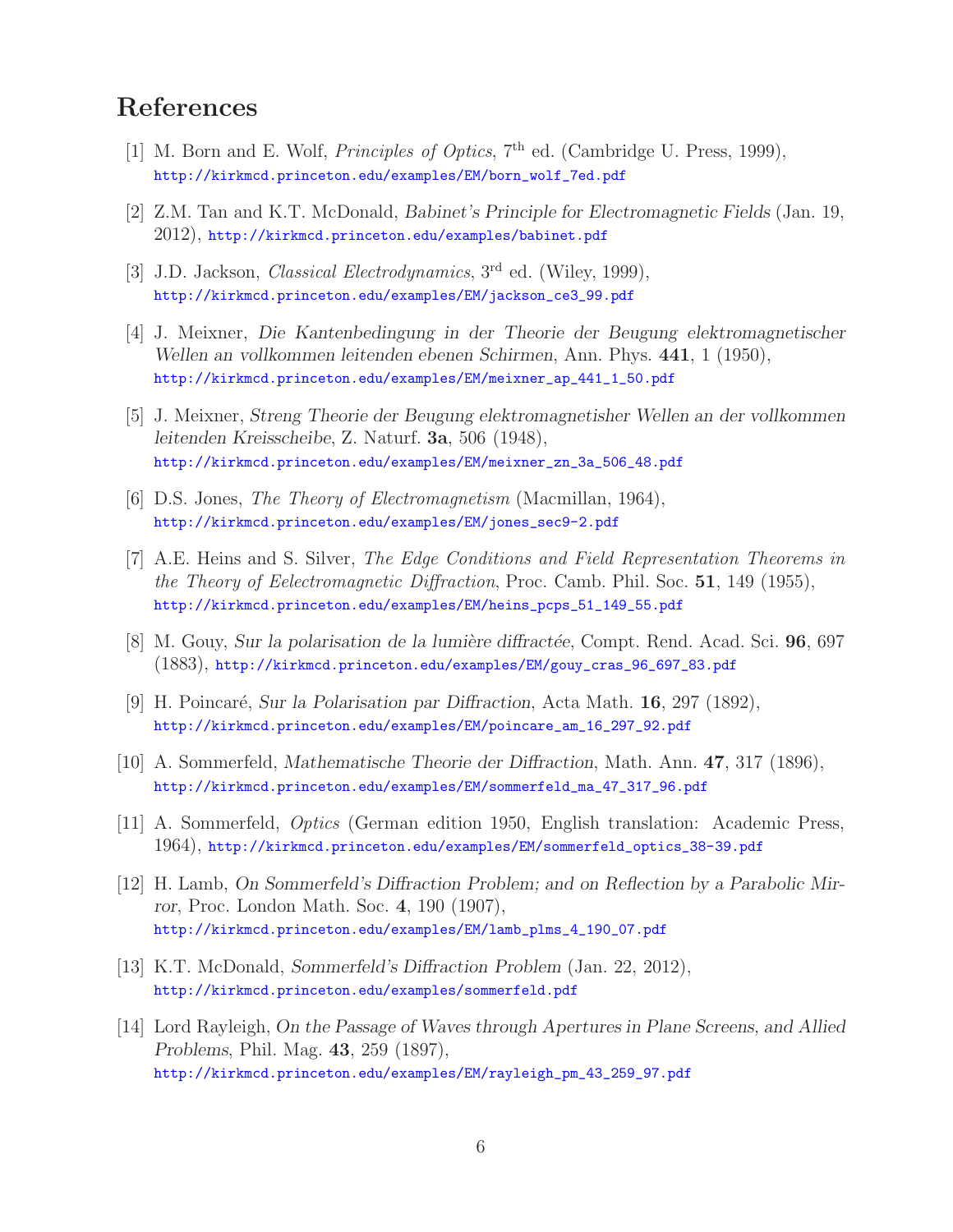# **References**

- [1] M. Born and E. Wolf, *Principles of Optics*,  $7<sup>th</sup>$  ed. (Cambridge U. Press, 1999), http://kirkmcd.princeton.edu/examples/EM/born\_wolf\_7ed.pdf
- [2] Z.M. Tan and K.T. McDonald, *Babinet's Principle for Electromagnetic Fields* (Jan. 19, 2012), http://kirkmcd.princeton.edu/examples/babinet.pdf
- [3] J.D. Jackson, *Classical Electrodynamics*, 3<sup>rd</sup> ed. (Wiley, 1999), http://kirkmcd.princeton.edu/examples/EM/jackson\_ce3\_99.pdf
- [4] J. Meixner, *Die Kantenbedingung in der Theorie der Beugung elektromagnetischer Wellen an vollkommen leitenden ebenen Schirmen*, Ann. Phys. **441**, 1 (1950), http://kirkmcd.princeton.edu/examples/EM/meixner\_ap\_441\_1\_50.pdf
- [5] J. Meixner, *Streng Theorie der Beugung elektromagnetisher Wellen an der vollkommen leitenden Kreisscheibe*, Z. Naturf. **3a**, 506 (1948), http://kirkmcd.princeton.edu/examples/EM/meixner\_zn\_3a\_506\_48.pdf
- [6] D.S. Jones, The Theory of Electromagnetism (Macmillan, 1964), http://kirkmcd.princeton.edu/examples/EM/jones\_sec9-2.pdf
- [7] A.E. Heins and S. Silver, The Edge Conditions and Field Representation Theorems in the Theory of Eelectromagnetic Diffraction, Proc. Camb. Phil. Soc. **51**, 149 (1955), http://kirkmcd.princeton.edu/examples/EM/heins\_pcps\_51\_149\_55.pdf
- [8] M. Gouy, *Sur la polarisation de la lumière diffractée*, Compt. Rend. Acad. Sci. **96**, 697 (1883), http://kirkmcd.princeton.edu/examples/EM/gouy\_cras\_96\_697\_83.pdf
- [9] H. Poincar´e, *Sur la Polarisation par Diffraction*, Acta Math. **16**, 297 (1892), http://kirkmcd.princeton.edu/examples/EM/poincare\_am\_16\_297\_92.pdf
- [10] A. Sommerfeld, *Mathematische Theorie der Diffraction*, Math. Ann. **47**, 317 (1896), http://kirkmcd.princeton.edu/examples/EM/sommerfeld\_ma\_47\_317\_96.pdf
- [11] A. Sommerfeld, Optics (German edition 1950, English translation: Academic Press, 1964), http://kirkmcd.princeton.edu/examples/EM/sommerfeld\_optics\_38-39.pdf
- [12] H. Lamb, *On Sommerfeld's Diffraction Problem; and on Reflection by a Parabolic Mirror*, Proc. London Math. Soc. **4**, 190 (1907), http://kirkmcd.princeton.edu/examples/EM/lamb\_plms\_4\_190\_07.pdf
- [13] K.T. McDonald, *Sommerfeld's Diffraction Problem* (Jan. 22, 2012), http://kirkmcd.princeton.edu/examples/sommerfeld.pdf
- [14] Lord Rayleigh, *On the Passage of Waves through Apertures in Plane Screens, and Allied Problems*, Phil. Mag. **43**, 259 (1897), http://kirkmcd.princeton.edu/examples/EM/rayleigh\_pm\_43\_259\_97.pdf